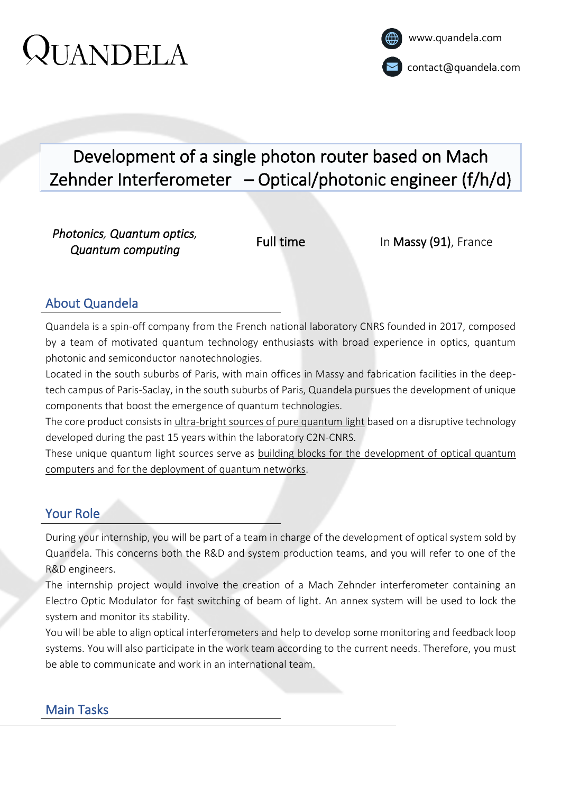# Development of a single photon router based on Mach Zehnder Interferometer – Optical/photonic engineer (f/h/d)

*Photonics, Quantum optics, Quantum computing* 

Full time In Massy (91), France

## About Quandela

Quandela is a spin-off company from the French national laboratory CNRS founded in 2017, composed by a team of motivated quantum technology enthusiasts with broad experience in optics, quantum photonic and semiconductor nanotechnologies.

Located in the south suburbs of Paris, with main offices in Massy and fabrication facilities in the deeptech campus of Paris-Saclay, in the south suburbs of Paris, Quandela pursues the development of unique components that boost the emergence of quantum technologies.

The core product consists in ultra-bright sources of pure quantum light based on a disruptive technology developed during the past 15 years within the laboratory C2N-CNRS.

These unique quantum light sources serve as building blocks for the development of optical quantum computers and for the deployment of quantum networks.

### Your Role

During your internship, you will be part of a team in charge of the development of optical system sold by Quandela. This concerns both the R&D and system production teams, and you will refer to one of the R&D engineers.

The internship project would involve the creation of a Mach Zehnder interferometer containing an Electro Optic Modulator for fast switching of beam of light. An annex system will be used to lock the system and monitor its stability.

You will be able to align optical interferometers and help to develop some monitoring and feedback loop systems. You will also participate in the work team according to the current needs. Therefore, you must be able to communicate and work in an international team.

## Main Tasks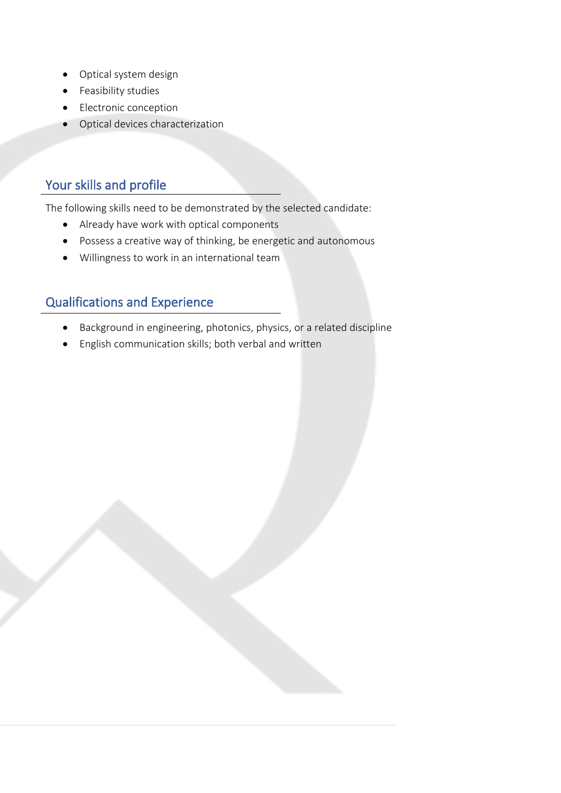- Optical system design
- Feasibility studies
- Electronic conception
- Optical devices characterization

The following skills need to be demonstrated by the selected candidate:

- Already have work with optical components
- Possess a creative way of thinking, be energetic and autonomous
- Willingness to work in an international team

- Background in engineering, photonics, physics, or a related discipline
- English communication skills; both verbal and written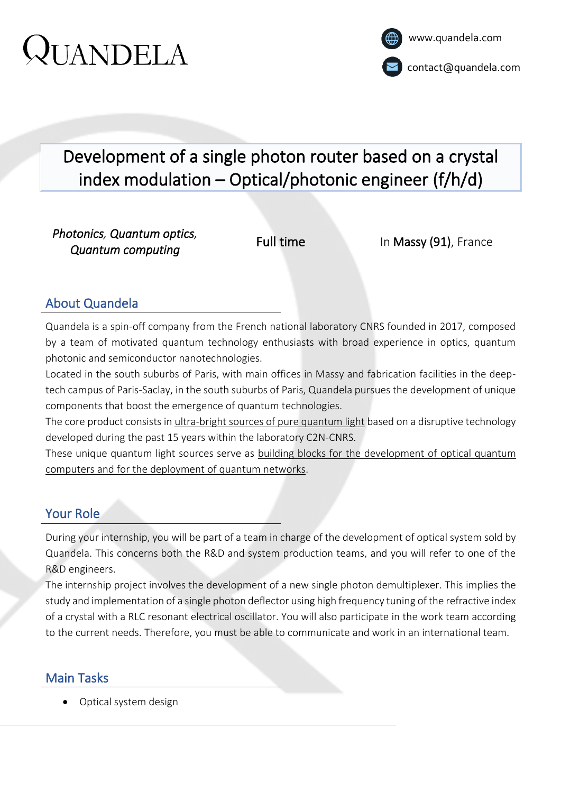# Development of a single photon router based on a crystal index modulation – Optical/photonic engineer (f/h/d)

*Photonics, Quantum optics, Quantum computing* 

Full time In Massy (91), France

## About Quandela

Quandela is a spin-off company from the French national laboratory CNRS founded in 2017, composed by a team of motivated quantum technology enthusiasts with broad experience in optics, quantum photonic and semiconductor nanotechnologies.

Located in the south suburbs of Paris, with main offices in Massy and fabrication facilities in the deeptech campus of Paris-Saclay, in the south suburbs of Paris, Quandela pursues the development of unique components that boost the emergence of quantum technologies.

The core product consists in ultra-bright sources of pure quantum light based on a disruptive technology developed during the past 15 years within the laboratory C2N-CNRS.

These unique quantum light sources serve as building blocks for the development of optical quantum computers and for the deployment of quantum networks.

## Your Role

During your internship, you will be part of a team in charge of the development of optical system sold by Quandela. This concerns both the R&D and system production teams, and you will refer to one of the R&D engineers.

The internship project involves the development of a new single photon demultiplexer. This implies the study and implementation of a single photon deflector using high frequency tuning of the refractive index of a crystal with a RLC resonant electrical oscillator. You will also participate in the work team according to the current needs. Therefore, you must be able to communicate and work in an international team.

## Main Tasks

• Optical system design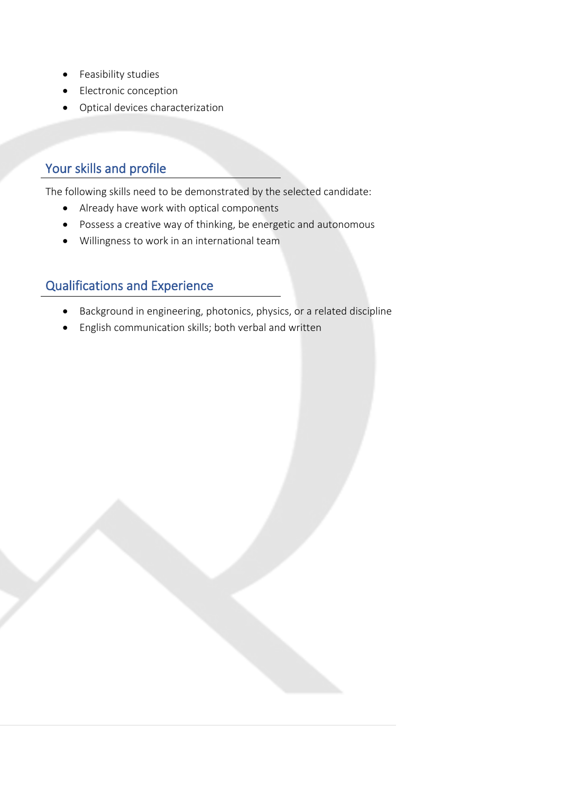- Feasibility studies
- Electronic conception
- Optical devices characterization

The following skills need to be demonstrated by the selected candidate:

- Already have work with optical components
- Possess a creative way of thinking, be energetic and autonomous
- Willingness to work in an international team

- Background in engineering, photonics, physics, or a related discipline
- English communication skills; both verbal and written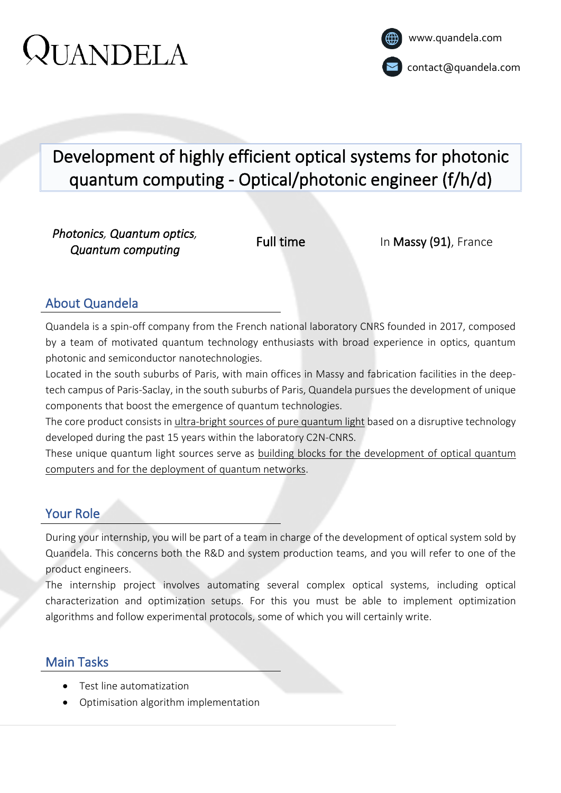# Development of highly efficient optical systems for photonic quantum computing - Optical/photonic engineer (f/h/d)

*Photonics, Quantum optics, Quantum computing* 

Full time In Massy (91), France

### About Quandela

Quandela is a spin-off company from the French national laboratory CNRS founded in 2017, composed by a team of motivated quantum technology enthusiasts with broad experience in optics, quantum photonic and semiconductor nanotechnologies.

Located in the south suburbs of Paris, with main offices in Massy and fabrication facilities in the deeptech campus of Paris-Saclay, in the south suburbs of Paris, Quandela pursues the development of unique components that boost the emergence of quantum technologies.

The core product consists in ultra-bright sources of pure quantum light based on a disruptive technology developed during the past 15 years within the laboratory C2N-CNRS.

These unique quantum light sources serve as building blocks for the development of optical quantum computers and for the deployment of quantum networks.

### Your Role

During your internship, you will be part of a team in charge of the development of optical system sold by Quandela. This concerns both the R&D and system production teams, and you will refer to one of the product engineers.

The internship project involves automating several complex optical systems, including optical characterization and optimization setups. For this you must be able to implement optimization algorithms and follow experimental protocols, some of which you will certainly write.

## Main Tasks

- Test line automatization
- Optimisation algorithm implementation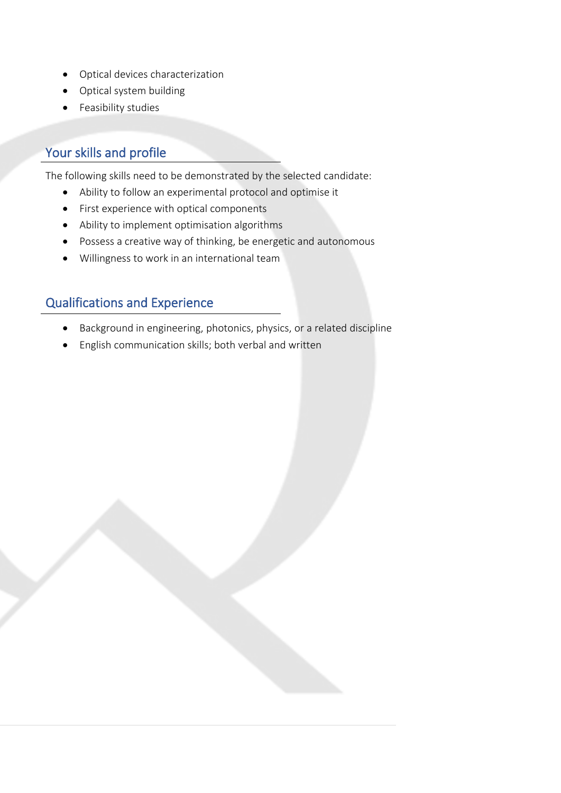- Optical devices characterization
- Optical system building
- Feasibility studies

The following skills need to be demonstrated by the selected candidate:

- Ability to follow an experimental protocol and optimise it
- First experience with optical components
- Ability to implement optimisation algorithms
- Possess a creative way of thinking, be energetic and autonomous
- Willingness to work in an international team

- Background in engineering, photonics, physics, or a related discipline
- English communication skills; both verbal and written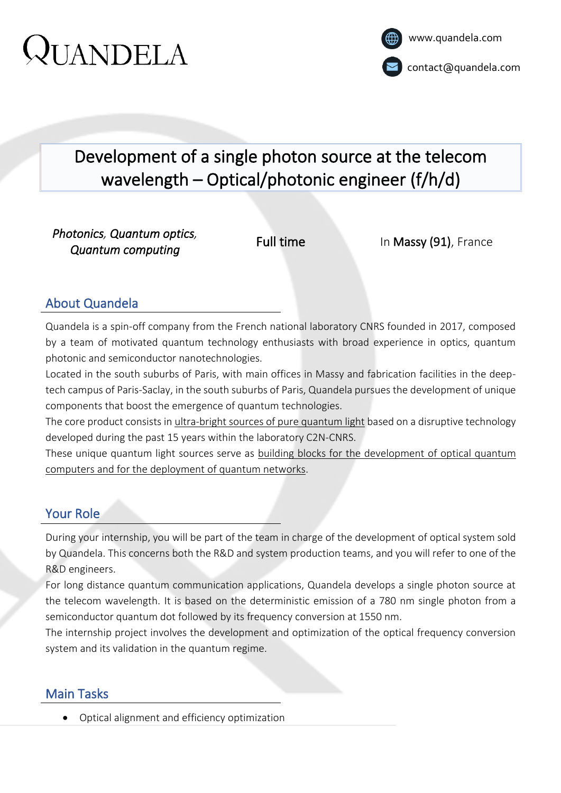# Development of a single photon source at the telecom wavelength – Optical/photonic engineer (f/h/d)

*Photonics, Quantum optics, Quantum computing* 

Full time In Massy (91), France

## About Quandela

Quandela is a spin-off company from the French national laboratory CNRS founded in 2017, composed by a team of motivated quantum technology enthusiasts with broad experience in optics, quantum photonic and semiconductor nanotechnologies.

Located in the south suburbs of Paris, with main offices in Massy and fabrication facilities in the deeptech campus of Paris-Saclay, in the south suburbs of Paris, Quandela pursues the development of unique components that boost the emergence of quantum technologies.

The core product consists in ultra-bright sources of pure quantum light based on a disruptive technology developed during the past 15 years within the laboratory C2N-CNRS.

These unique quantum light sources serve as building blocks for the development of optical quantum computers and for the deployment of quantum networks.

## Your Role

During your internship, you will be part of the team in charge of the development of optical system sold by Quandela. This concerns both the R&D and system production teams, and you will refer to one of the R&D engineers.

For long distance quantum communication applications, Quandela develops a single photon source at the telecom wavelength. It is based on the deterministic emission of a 780 nm single photon from a semiconductor quantum dot followed by its frequency conversion at 1550 nm.

The internship project involves the development and optimization of the optical frequency conversion system and its validation in the quantum regime.

## Main Tasks

• Optical alignment and efficiency optimization